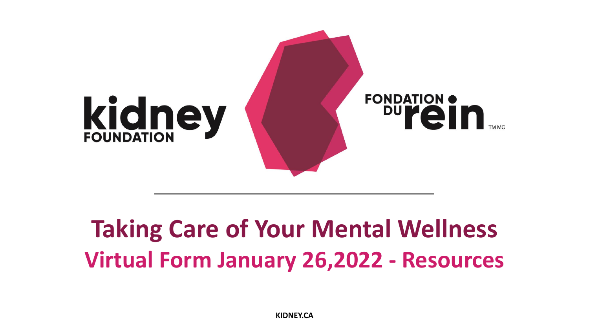

## **Taking Care of Your Mental Wellness Virtual Form January 26,2022 - Resources**

**KIDNEY.CA**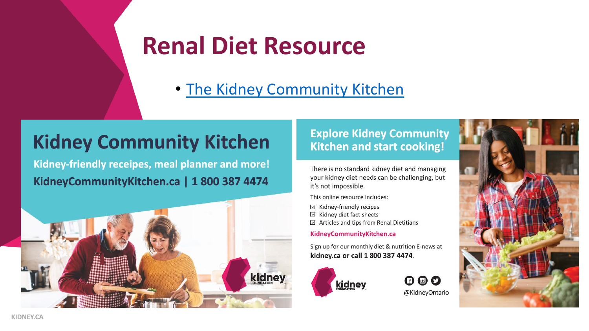### **Renal Diet Resource**

• [The Kidney Community Kitchen](http://www.kidneycommunitykitchen.ca/)

### **Kidney Community Kitchen**

Kidney-friendly receipes, meal planner and more! KidneyCommunityKitchen.ca | 1 800 387 4474



#### **Explore Kidney Community Kitchen and start cooking!**

There is no standard kidney diet and managing your kidney diet needs can be challenging, but it's not impossible.

This online resource includes:

- $\boxtimes$  Kidney-friendly recipes
- $\boxtimes$  Kidney diet fact sheets
- $\triangledown$  Articles and tips from Renal Dietitians

#### KidneyCommunityKitchen.ca

Sign up for our monthly diet & nutrition E-news at kidney.ca or call 1 800 387 4474.





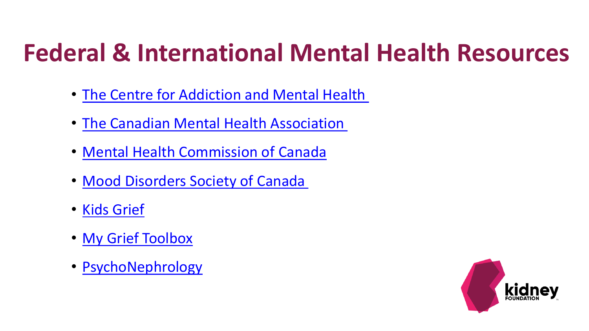## **Federal & International Mental Health Resources**

- [The Centre for Addiction and Mental Health](https://www.camh.ca/en/health-info/mental-health-and-covid-19)
- [The Canadian Mental](https://cmha.ca/document-category/mental-health) Health Association
- Mental Health [Commission of Canada](https://www.mentalhealthcommission.ca/English)
- Mood Disorders [Society of Canada](https://mdsc.ca/resources/)
- [Kids Grief](https://kidsgrief.ca/)
- My [Grief Toolbox](https://grieftoolbox.ca/)
- [PsychoNephrology](https://psychonephrology.com/)

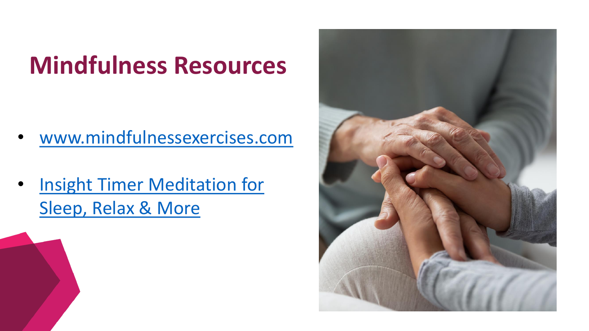# **Mindfulness Resources**

- [www.mindfulnessexercises.com](http://www.mindfulnessexercises.com/)
- [Insight Timer Meditation for](https://insighttimer.com/)  Sleep, Relax & More

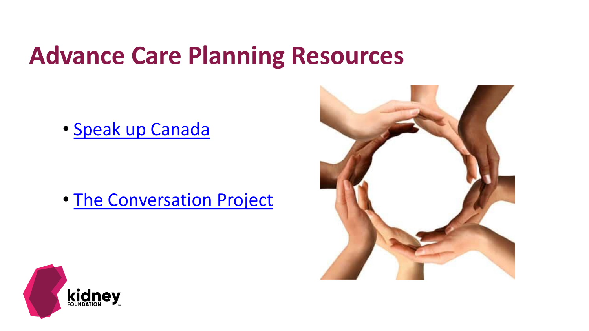### **Advance Care Planning Resources**

• Speak [up Canada](https://www.advancecareplanning.ca/?_ga=2.207893588.711937571.1595947930-59479079.1595947930)

• [The Conversation Project](https://theconversationproject.org/)



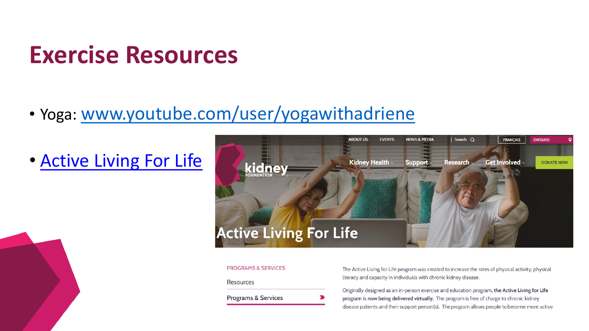### **Exercise Resources**

### • Yoga: [www.youtube.com/user/yogawithadriene](http://www.youtube.com/user/yogawithadriene)

### • [Active Living For Life](https://kidney.ca/Support/Programs-Services/ON/Programs/Active-Living-for-Life)



#### **PROGRAMS & SERVICES**

Resources

**Programs & Services** 

The Active Living for Life program was created to increase the rates of physical activity, physical literacy and capacity in individuals with chronic kidney disease.

Originally designed as an in-person exercise and education program, the Active Living for Life program is now being delivered virtually. The program is free of charge to chronic kidney disease patients and their support person(s). The program allows people to become more active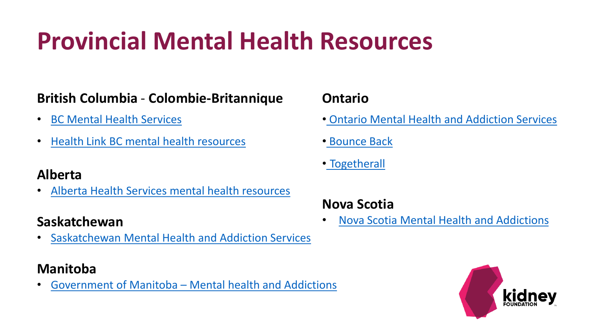# **Provincial Mental Health Resources**

#### **British Columbia** - **Colombie-Britannique**

- [BC Mental](https://www2.gov.bc.ca/gov/content/justice/criminal-justice/bcs-criminal-justice-system/services-and-resources/services-by-need/mental-health-services) Health Services
- Health [Link BC mental health resources](https://www.healthlinkbc.ca/mental-health-substance-use/resources)

#### **Alberta**

• [Alberta Health Services mental health resources](https://www.albertahealthservices.ca/amh/Page16759.aspx)

#### **Saskatchewan**

• [Saskatchewan Mental Health and Addiction Services](https://www.saskatchewan.ca/residents/health/accessing-health-care-services/mental-health-and-addictions-support-services)

#### **Manitoba**

• Government of Manitoba – [Mental health and Addictions](https://www.gov.mb.ca/health/mh/index.html)

#### **Ontario**

- [Ontario Mental Health and Addiction Services](https://www.ontario.ca/page/mental-health-services)
- [Bounce Back](https://bouncebackontario.ca/)
- [Togetherall](https://togetherall.com/en-gb/)

#### **Nova Scotia**

• [Nova Scotia Mental Health and Addictions](https://www.nshealth.ca/mental-health-addictions)

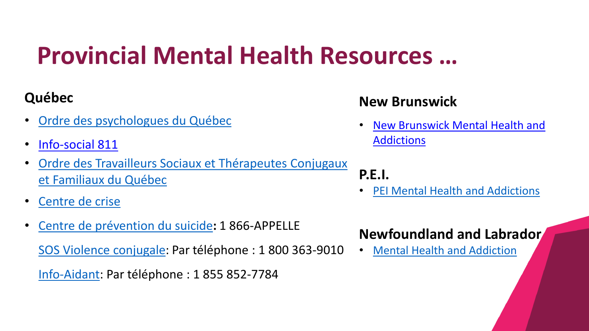# **Provincial Mental Health Resources …**

#### **Québec**

- [Ordre des psychologues](https://www.ordrepsy.qc.ca/) du Québec
- Info-social 811
- [Ordre des Travailleurs](https://www1.otstcfq.org/) Sociaux et Thérapeutes Conjugaux et Familiaux du Québec
- [Centre de crise](https://www.centredecrise.ca/)
- [Centre de prévention](https://www.cpsquebec.ca/) du suicide**:** 1 866-APPELLE [SOS Violence conjugale:](http://www.sosviolenceconjugale.ca/) Par téléphone : 1 800 363-9010

[Info-Aidant:](https://www.lappui.org/Trouver-des-ressources/Service-Info-aidant) Par téléphone : 1 855 852-7784

### **New Brunswick**

• [New Brunswick Mental Health and](https://www2.gnb.ca/content/gnb/en/departments/health/AddictionsandMentalHealth.html)  Addictions

### **P.E.I.**

• [PEI Mental Health and Addictions](https://www.princeedwardisland.ca/en/information/health-pei/mental-health-services)

### **Newfoundland and Labrador**

• [Mental Health and Addiction](https://www.health.gov.nl.ca/health/mentalhealth_committee/mentalhealth/index.html)